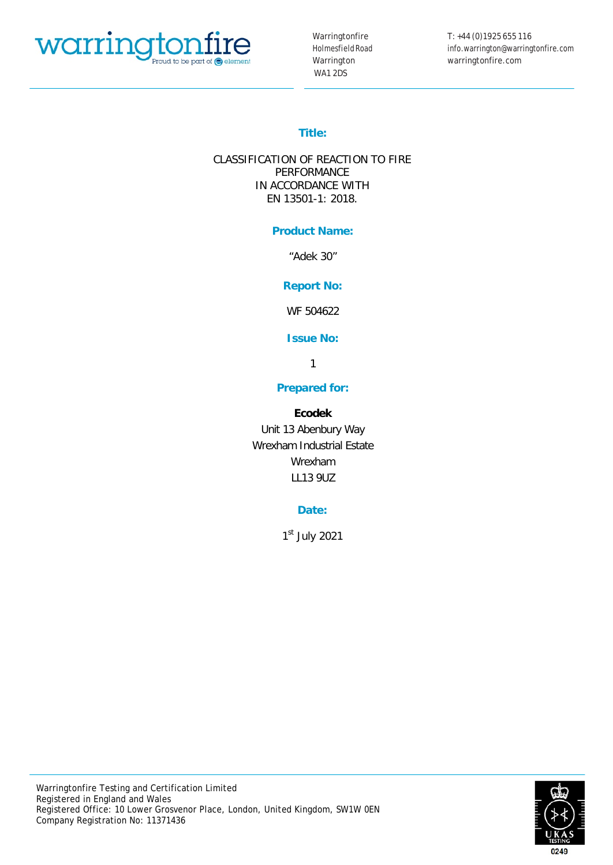

Warringtonfire HolmesfieldRoad Warrington WA1 2DS

T: +44 (0)1925 655 116 info.warrington@warringtonfire.com warringtonfire.com

# **Title:**

CLASSIFICATION OF REACTION TO FIRE PERFORMANCE IN ACCORDANCE WITH EN 13501-1: 2018.

## **Product Name:**

"Adek 30"

## **Report No:**

WF 504622

**Issue No:**

1

## **Prepared for:**

## **Ecodek**

Unit 13 Abenbury Way Wrexham Industrial Estate Wrexham LL13 9UZ

## **Date:**

 $1<sup>st</sup>$  July 2021

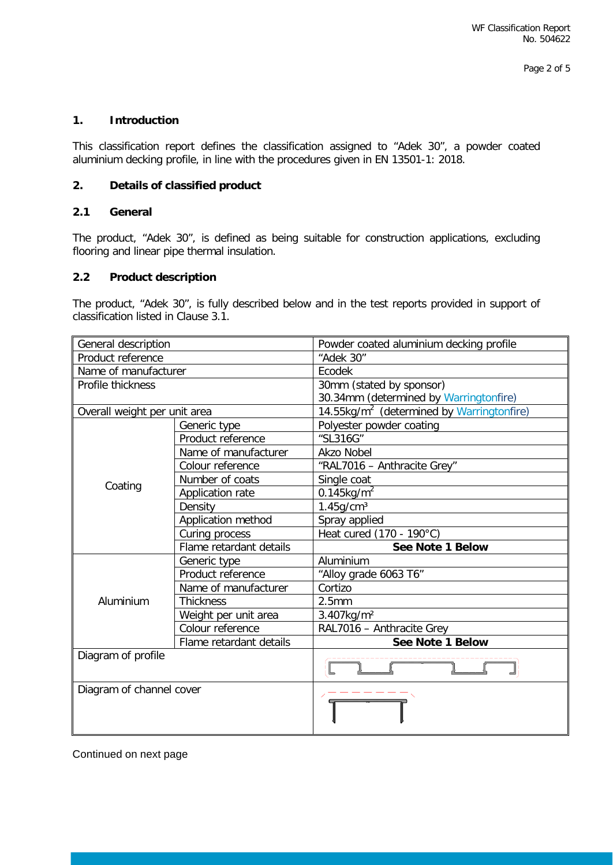## **1. Introduction**

This classification report defines the classification assigned to "Adek 30", a powder coated aluminium decking profile, in line with the procedures given in EN 13501-1: 2018.

#### **2. Details of classified product**

## **2.1 General**

The product, "Adek 30", is defined as being suitable for construction applications, excluding flooring and linear pipe thermal insulation.

## **2.2 Product description**

The product, "Adek 30", is fully described below and in the test reports provided in support of classification listed in Clause 3.1.

| General description          |                         | Powder coated aluminium decking profile               |  |  |
|------------------------------|-------------------------|-------------------------------------------------------|--|--|
| Product reference            |                         | "Adek 30"                                             |  |  |
| Name of manufacturer         |                         | Ecodek                                                |  |  |
| Profile thickness            |                         | 30mm (stated by sponsor)                              |  |  |
|                              |                         | 30.34mm (determined by Warringtonfire)                |  |  |
| Overall weight per unit area |                         | 14.55kg/m <sup>2</sup> (determined by Warringtonfire) |  |  |
|                              | Generic type            | Polyester powder coating                              |  |  |
|                              | Product reference       | "SL316G"                                              |  |  |
|                              | Name of manufacturer    | <b>Akzo Nobel</b>                                     |  |  |
|                              | Colour reference        | "RAL7016 - Anthracite Grey"                           |  |  |
|                              | Number of coats         | Single coat                                           |  |  |
| Coating                      | Application rate        | $0.145$ kg/m <sup>2</sup>                             |  |  |
|                              | Density                 | $1.45$ g/cm <sup>3</sup>                              |  |  |
|                              | Application method      | Spray applied                                         |  |  |
|                              | Curing process          | Heat cured (170 - 190°C)                              |  |  |
|                              | Flame retardant details | See Note 1 Below                                      |  |  |
|                              | Generic type            | Aluminium                                             |  |  |
|                              | Product reference       | "Alloy grade 6063 T6"                                 |  |  |
|                              | Name of manufacturer    | Cortizo                                               |  |  |
| Aluminium                    | <b>Thickness</b>        | 2.5mm                                                 |  |  |
|                              | Weight per unit area    | 3.407kg/m <sup>2</sup>                                |  |  |
|                              | Colour reference        | RAL7016 - Anthracite Grey                             |  |  |
|                              | Flame retardant details | See Note 1 Below                                      |  |  |
| Diagram of profile           |                         |                                                       |  |  |
| Diagram of channel cover     |                         |                                                       |  |  |

Continued on next page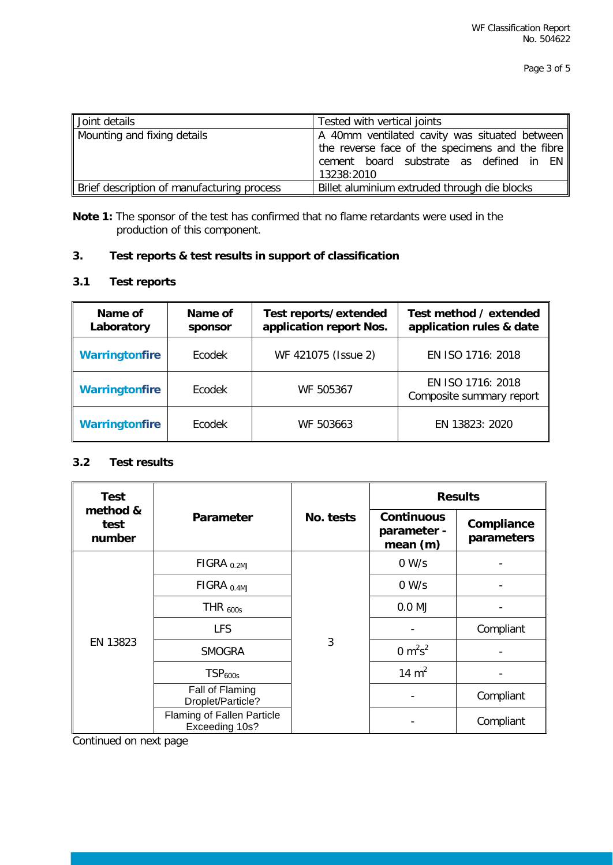| Joint details                              | Tested with vertical joints                                                                                                                               |
|--------------------------------------------|-----------------------------------------------------------------------------------------------------------------------------------------------------------|
| Mounting and fixing details                | A 40mm ventilated cavity was situated between<br>the reverse face of the specimens and the fibre<br>cement board substrate as defined in EN<br>13238:2010 |
| Brief description of manufacturing process | Billet aluminium extruded through die blocks                                                                                                              |

**Note 1:** The sponsor of the test has confirmed that no flame retardants were used in the production of this component.

# **3. Test reports & test results in support of classification**

## **3.1 Test reports**

| Name of<br>Laboratory | Name of<br>sponsor | Test reports/extended<br>application report Nos. | Test method / extended<br>application rules & date |
|-----------------------|--------------------|--------------------------------------------------|----------------------------------------------------|
| <b>Warringtonfire</b> | Ecodek             | WF 421075 (Issue 2)                              | EN ISO 1716: 2018                                  |
| <b>Warringtonfire</b> | Ecodek             | WF 505367                                        | EN ISO 1716: 2018<br>Composite summary report      |
| <b>Warringtonfire</b> | Ecodek             | WF 503663                                        | EN 13823: 2020                                     |

#### **3.2 Test results**

| <b>Test</b>                | Parameter                                    |           | <b>Results</b>                                 |                          |  |
|----------------------------|----------------------------------------------|-----------|------------------------------------------------|--------------------------|--|
| method &<br>test<br>number |                                              | No. tests | <b>Continuous</b><br>parameter -<br>mean $(m)$ | Compliance<br>parameters |  |
| EN 13823                   | $FIGRA_{0.2MJ}$                              |           | 0 W/s                                          |                          |  |
|                            | $FIGRA_{0.4MJ}$                              |           | 0 W/s                                          |                          |  |
|                            | THR $_{600s}$                                |           | $0.0$ MJ                                       |                          |  |
|                            | <b>LFS</b>                                   |           |                                                | Compliant                |  |
|                            | <b>SMOGRA</b>                                | 3         | 0 $m^2s^2$                                     |                          |  |
|                            | TSP <sub>600s</sub>                          |           | 14 $m2$                                        |                          |  |
|                            | Fall of Flaming<br>Droplet/Particle?         |           |                                                | Compliant                |  |
|                            | Flaming of Fallen Particle<br>Exceeding 10s? |           |                                                | Compliant                |  |

Continued on next page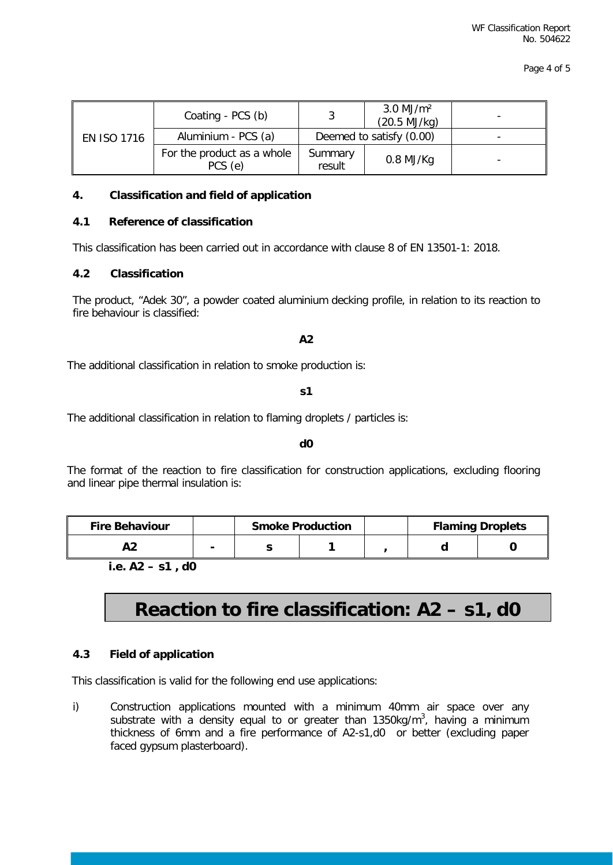| <b>EN ISO 1716</b> | Coating - PCS (b)                     | $3.0 \text{ MJ/m}^2$<br>(20.5 MJ/kg) |             |  |
|--------------------|---------------------------------------|--------------------------------------|-------------|--|
|                    | Aluminium - PCS (a)                   | Deemed to satisfy (0.00)             |             |  |
|                    | For the product as a whole<br>PCS (e) | Summary<br>result                    | $0.8$ MJ/Kg |  |

#### **4. Classification and field of application**

#### **4.1 Reference of classification**

This classification has been carried out in accordance with clause 8 of EN 13501-1: 2018.

#### **4.2 Classification**

The product, "Adek 30", a powder coated aluminium decking profile, in relation to its reaction to fire behaviour is classified:

#### **A2**

The additional classification in relation to smoke production is:

**s1**

The additional classification in relation to flaming droplets / particles is:

**d0**

The format of the reaction to fire classification for construction applications, excluding flooring and linear pipe thermal insulation is:

| <b>Fire Behaviour</b> |   | <b>Smoke Production</b> |  |  | <b>Flaming Droplets</b> |
|-----------------------|---|-------------------------|--|--|-------------------------|
|                       | - |                         |  |  |                         |

**i.e. A2 – s1 , d0**

# **Reaction to fire classification: A2 – s1, d0**

## **4.3 Field of application**

This classification is valid for the following end use applications:

i) Construction applications mounted with a minimum 40mm air space over any substrate with a density equal to or greater than 1350kg/m<sup>3</sup>, having a minimum thickness of 6mm and a fire performance of A2-s1,d0 or better (excluding paper faced gypsum plasterboard).